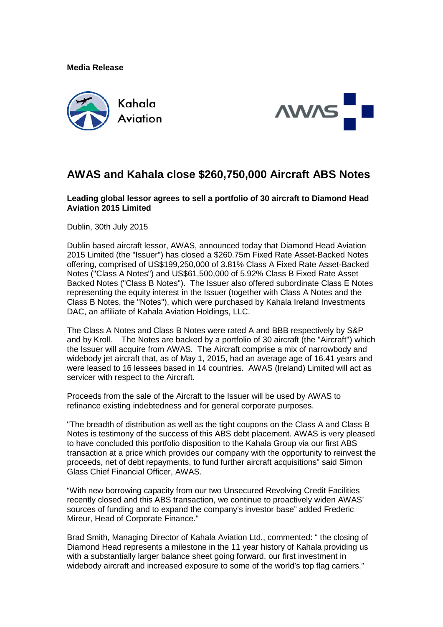**Media Release**





## **AWAS and Kahala close \$260,750,000 Aircraft ABS Notes**

**Leading global lessor agrees to sell a portfolio of 30 aircraft to Diamond Head Aviation 2015 Limited**

Dublin, 30th July 2015

Dublin based aircraft lessor, AWAS, announced today that Diamond Head Aviation 2015 Limited (the "Issuer") has closed a \$260.75m Fixed Rate Asset-Backed Notes offering, comprised of US\$199,250,000 of 3.81% Class A Fixed Rate Asset-Backed Notes ("Class A Notes") and US\$61,500,000 of 5.92% Class B Fixed Rate Asset Backed Notes ("Class B Notes"). The Issuer also offered subordinate Class E Notes representing the equity interest in the Issuer (together with Class A Notes and the Class B Notes, the "Notes"), which were purchased by Kahala Ireland Investments DAC, an affiliate of Kahala Aviation Holdings, LLC.

The Class A Notes and Class B Notes were rated A and BBB respectively by S&P and by Kroll. The Notes are backed by a portfolio of 30 aircraft (the "Aircraft") which the Issuer will acquire from AWAS. The Aircraft comprise a mix of narrowbody and widebody jet aircraft that, as of May 1, 2015, had an average age of 16.41 years and were leased to 16 lessees based in 14 countries. AWAS (Ireland) Limited will act as servicer with respect to the Aircraft.

Proceeds from the sale of the Aircraft to the Issuer will be used by AWAS to refinance existing indebtedness and for general corporate purposes.

"The breadth of distribution as well as the tight coupons on the Class A and Class B Notes is testimony of the success of this ABS debt placement. AWAS is very pleased to have concluded this portfolio disposition to the Kahala Group via our first ABS transaction at a price which provides our company with the opportunity to reinvest the proceeds, net of debt repayments, to fund further aircraft acquisitions" said Simon Glass Chief Financial Officer, AWAS.

"With new borrowing capacity from our two Unsecured Revolving Credit Facilities recently closed and this ABS transaction, we continue to proactively widen AWAS' sources of funding and to expand the company's investor base" added Frederic Mireur, Head of Corporate Finance."

Brad Smith, Managing Director of Kahala Aviation Ltd., commented: " the closing of Diamond Head represents a milestone in the 11 year history of Kahala providing us with a substantially larger balance sheet going forward, our first investment in widebody aircraft and increased exposure to some of the world's top flag carriers."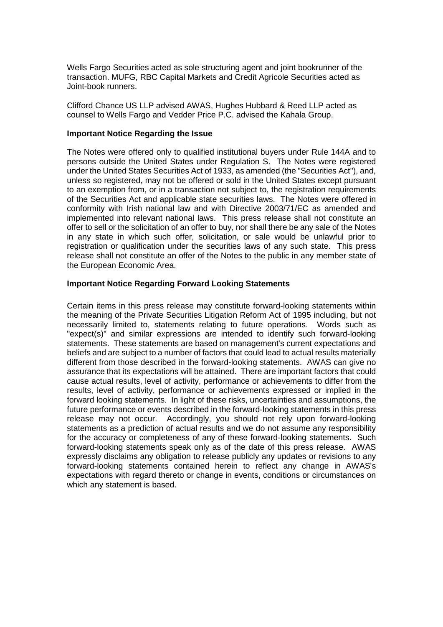Wells Fargo Securities acted as sole structuring agent and joint bookrunner of the transaction. MUFG, RBC Capital Markets and Credit Agricole Securities acted as Joint-book runners.

Clifford Chance US LLP advised AWAS, Hughes Hubbard & Reed LLP acted as counsel to Wells Fargo and Vedder Price P.C. advised the Kahala Group.

## **Important Notice Regarding the Issue**

The Notes were offered only to qualified institutional buyers under Rule 144A and to persons outside the United States under Regulation S. The Notes were registered under the United States Securities Act of 1933, as amended (the "Securities Act"), and, unless so registered, may not be offered or sold in the United States except pursuant to an exemption from, or in a transaction not subject to, the registration requirements of the Securities Act and applicable state securities laws. The Notes were offered in conformity with Irish national law and with Directive 2003/71/EC as amended and implemented into relevant national laws. This press release shall not constitute an offer to sell or the solicitation of an offer to buy, nor shall there be any sale of the Notes in any state in which such offer, solicitation, or sale would be unlawful prior to registration or qualification under the securities laws of any such state. This press release shall not constitute an offer of the Notes to the public in any member state of the European Economic Area.

## **Important Notice Regarding Forward Looking Statements**

Certain items in this press release may constitute forward-looking statements within the meaning of the Private Securities Litigation Reform Act of 1995 including, but not necessarily limited to, statements relating to future operations. Words such as "expect(s)" and similar expressions are intended to identify such forward-looking statements. These statements are based on management's current expectations and beliefs and are subject to a number of factors that could lead to actual results materially different from those described in the forward-looking statements. AWAS can give no assurance that its expectations will be attained. There are important factors that could cause actual results, level of activity, performance or achievements to differ from the results, level of activity, performance or achievements expressed or implied in the forward looking statements. In light of these risks, uncertainties and assumptions, the future performance or events described in the forward-looking statements in this press release may not occur. Accordingly, you should not rely upon forward-looking statements as a prediction of actual results and we do not assume any responsibility for the accuracy or completeness of any of these forward-looking statements. Such forward-looking statements speak only as of the date of this press release. AWAS expressly disclaims any obligation to release publicly any updates or revisions to any forward-looking statements contained herein to reflect any change in AWAS's expectations with regard thereto or change in events, conditions or circumstances on which any statement is based.